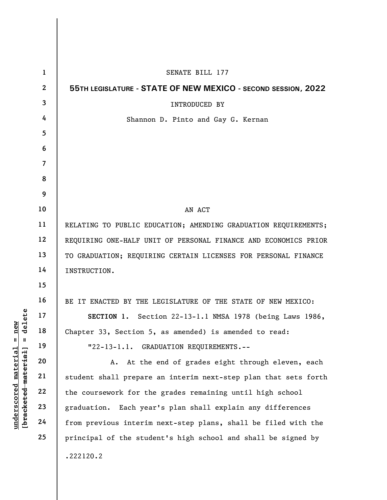|                               | $\mathbf{1}$   | SENATE BILL 177                                                 |
|-------------------------------|----------------|-----------------------------------------------------------------|
|                               | $\mathbf{2}$   | 55TH LEGISLATURE - STATE OF NEW MEXICO - SECOND SESSION, 2022   |
|                               | 3              | <b>INTRODUCED BY</b>                                            |
|                               | 4              | Shannon D. Pinto and Gay G. Kernan                              |
|                               | 5              |                                                                 |
|                               | 6              |                                                                 |
|                               | $\overline{7}$ |                                                                 |
|                               | 8              |                                                                 |
|                               | 9              |                                                                 |
|                               | 10             | AN ACT                                                          |
|                               | 11             | RELATING TO PUBLIC EDUCATION; AMENDING GRADUATION REQUIREMENTS; |
|                               | 12             | REQUIRING ONE-HALF UNIT OF PERSONAL FINANCE AND ECONOMICS PRIOR |
|                               | 13             | TO GRADUATION; REQUIRING CERTAIN LICENSES FOR PERSONAL FINANCE  |
|                               | 14             | INSTRUCTION.                                                    |
|                               | 15             |                                                                 |
|                               | 16             | BE IT ENACTED BY THE LEGISLATURE OF THE STATE OF NEW MEXICO:    |
| delete                        | 17             | SECTION 1. Section 22-13-1.1 NMSA 1978 (being Laws 1986,        |
| $\mathbf{n}$ ew               | 18             | Chapter 33, Section 5, as amended) is amended to read:          |
| Ш<br>Ш                        | 19             | "22-13-1.1. GRADUATION REQUIREMENTS.--                          |
| $\mathop{\mathtt{materidal}}$ | 20             | At the end of grades eight through eleven, each<br>Α.           |
| [bracketed material           | 21             | student shall prepare an interim next-step plan that sets forth |
|                               | 22             | the coursework for the grades remaining until high school       |
|                               | 23             | Each year's plan shall explain any differences<br>graduation.   |
| underscored                   | 24             | from previous interim next-step plans, shall be filed with the  |
|                               | 25             | principal of the student's high school and shall be signed by   |
|                               |                | .222120.2                                                       |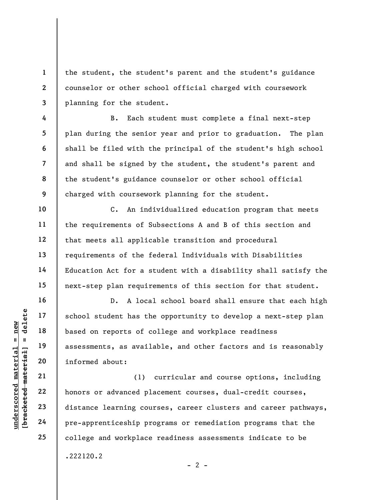the student, the student's parent and the student's guidance counselor or other school official charged with coursework planning for the student.

B. Each student must complete a final next-step plan during the senior year and prior to graduation. The plan shall be filed with the principal of the student's high school and shall be signed by the student, the student's parent and the student's guidance counselor or other school official charged with coursework planning for the student.

C. An individualized education program that meets the requirements of Subsections A and B of this section and that meets all applicable transition and procedural requirements of the federal Individuals with Disabilities Education Act for a student with a disability shall satisfy the next-step plan requirements of this section for that student.

underscore of the school student has the<br>  $\begin{array}{c|c|c|c} \n\text{u} & \text{u} & \text{u} & \text{u} & \text{u} & \text{u} & \text{u} & \text{u} & \text{u} & \text{u} & \text{u} & \text{u} & \text{u} & \text{u} & \text{u} & \text{u} & \text{u} & \text{u} & \text{u} & \text{u} & \text{u} & \text{u} & \text{u} & \text{u} & \text{u} & \text{u} & \text{u} & \text$ D. A local school board shall ensure that each high school student has the opportunity to develop a next-step plan based on reports of college and workplace readiness assessments, as available, and other factors and is reasonably informed about:

(1) curricular and course options, including honors or advanced placement courses, dual-credit courses, distance learning courses, career clusters and career pathways, pre-apprenticeship programs or remediation programs that the college and workplace readiness assessments indicate to be .222120.2

 $- 2 -$ 

1

2

3

4

5

6

7

8

9

10

11

12

13

14

15

16

17

18

19

20

21

22

23

24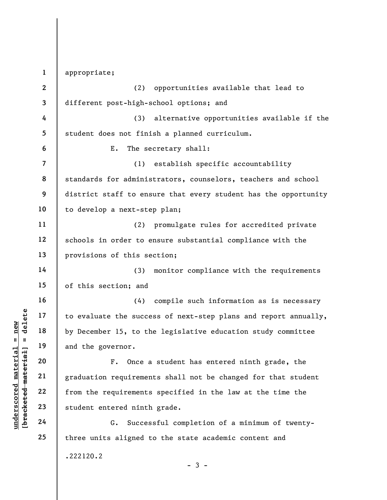underscored material material end of the successue of the summer of the summer of the summer of the summer of the summer of the summer of the summer of the summer of the summer of the summer of the summer of the summer of 1 2 3 4 5 6 7 8 9 10 11 12 13 14 15 16 17 18 19 20 21 22 23 24 25 appropriate; (2) opportunities available that lead to different post-high-school options; and (3) alternative opportunities available if the student does not finish a planned curriculum. E. The secretary shall: (1) establish specific accountability standards for administrators, counselors, teachers and school district staff to ensure that every student has the opportunity to develop a next-step plan; (2) promulgate rules for accredited private schools in order to ensure substantial compliance with the provisions of this section; (3) monitor compliance with the requirements of this section; and (4) compile such information as is necessary to evaluate the success of next-step plans and report annually, by December 15, to the legislative education study committee and the governor. F. Once a student has entered ninth grade, the graduation requirements shall not be changed for that student from the requirements specified in the law at the time the student entered ninth grade. G. Successful completion of a minimum of twentythree units aligned to the state academic content and .222120.2

 $-3 -$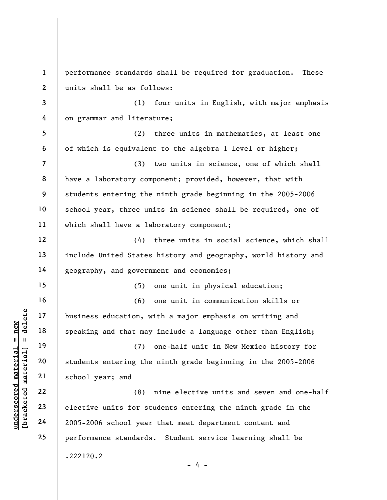underscored material = new [bracketed material] = delete 1 2 3 4 5 6 7 8 9 10 11 12 13 14 15 16 17 18 19 20 21 22 23 24 25 performance standards shall be required for graduation. These units shall be as follows: (1) four units in English, with major emphasis on grammar and literature; (2) three units in mathematics, at least one of which is equivalent to the algebra 1 level or higher; (3) two units in science, one of which shall have a laboratory component; provided, however, that with students entering the ninth grade beginning in the 2005-2006 school year, three units in science shall be required, one of which shall have a laboratory component; (4) three units in social science, which shall include United States history and geography, world history and geography, and government and economics; (5) one unit in physical education; (6) one unit in communication skills or business education, with a major emphasis on writing and speaking and that may include a language other than English; (7) one-half unit in New Mexico history for students entering the ninth grade beginning in the 2005-2006 school year; and (8) nine elective units and seven and one-half elective units for students entering the ninth grade in the 2005-2006 school year that meet department content and performance standards. Student service learning shall be .222120.2  $- 4 -$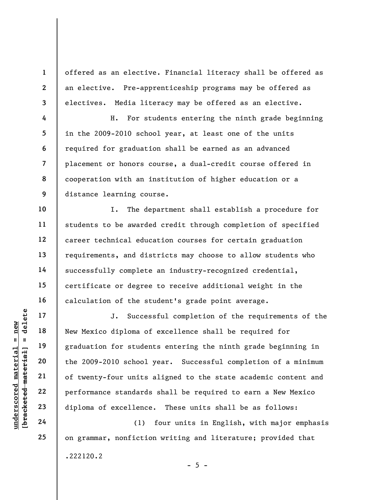offered as an elective. Financial literacy shall be offered as an elective. Pre-apprenticeship programs may be offered as electives. Media literacy may be offered as an elective.

H. For students entering the ninth grade beginning in the 2009-2010 school year, at least one of the units required for graduation shall be earned as an advanced placement or honors course, a dual-credit course offered in cooperation with an institution of higher education or a distance learning course.

I. The department shall establish a procedure for students to be awarded credit through completion of specified career technical education courses for certain graduation requirements, and districts may choose to allow students who successfully complete an industry-recognized credential, certificate or degree to receive additional weight in the calculation of the student's grade point average.

underscores 17<br>
understand material entire 19<br>
understandant de la performance standards<br>
21<br>
understandards<br>
23<br>
understandards<br>
24<br>
24<br>
understandards<br>
24<br>
understandards<br>
24<br>
(1) J. Successful completion of the requirements of the New Mexico diploma of excellence shall be required for graduation for students entering the ninth grade beginning in the 2009-2010 school year. Successful completion of a minimum of twenty-four units aligned to the state academic content and performance standards shall be required to earn a New Mexico diploma of excellence. These units shall be as follows:

(1) four units in English, with major emphasis on grammar, nonfiction writing and literature; provided that .222120.2  $- 5 -$ 

1

2

3

4

5

6

7

8

9

10

11

12

13

14

15

16

17

18

19

20

21

22

23

24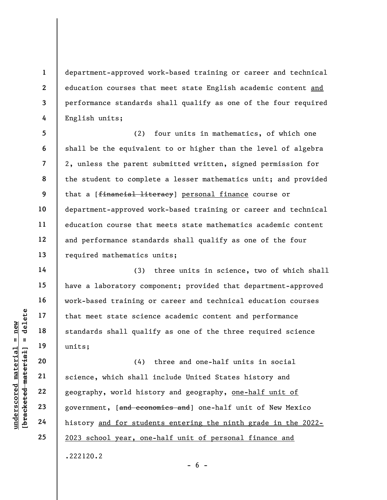department-approved work-based training or career and technical education courses that meet state English academic content and performance standards shall qualify as one of the four required English units;

5 6 7 8 9 10 11 12 13 (2) four units in mathematics, of which one shall be the equivalent to or higher than the level of algebra 2, unless the parent submitted written, signed permission for the student to complete a lesser mathematics unit; and provided that a [financial literacy] personal finance course or department-approved work-based training or career and technical education course that meets state mathematics academic content and performance standards shall qualify as one of the four required mathematics units;

(3) three units in science, two of which shall have a laboratory component; provided that department-approved work-based training or career and technical education courses that meet state science academic content and performance standards shall qualify as one of the three required science units;

understate scien<br>
and 17<br>
with that meet state scien<br>
standards shall quali<br>
units;<br>
20<br>
21<br>
science, which shall<br>
22<br>
geography, world hist<br>
23<br>
geography, world hist<br>
24<br>
history <u>and for stude</u> (4) three and one-half units in social science, which shall include United States history and geography, world history and geography, one-half unit of government, [and economics and] one-half unit of New Mexico history and for students entering the ninth grade in the 2022- 2023 school year, one-half unit of personal finance and .222120.2

1

2

3

4

14

15

16

17

18

19

20

21

22

23

24

25

 $- 6 -$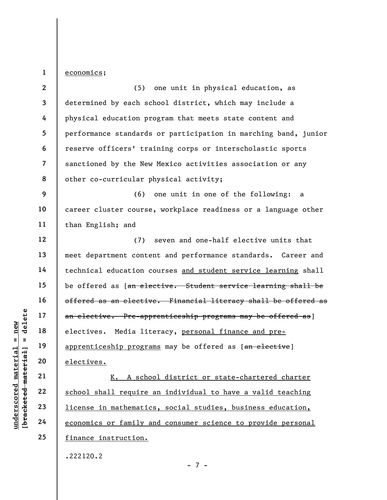1 economics;

underscores Media 117<br>
and 18<br>
electives. Media 1it<br>
apprenticeship progra<br>
electives.<br>
21<br>
22<br>
23<br>
<u>school shall require</u><br>
24<br>
<u>economics or family a</u> 2 3 4 5 6 7 8 9 10 11 12 13 14 15 16 17 18 19 20 21 22 23 24 25 (5) one unit in physical education, as determined by each school district, which may include a physical education program that meets state content and performance standards or participation in marching band, junior reserve officers' training corps or interscholastic sports sanctioned by the New Mexico activities association or any other co-curricular physical activity; (6) one unit in one of the following: a career cluster course, workplace readiness or a language other than English; and (7) seven and one-half elective units that meet department content and performance standards. Career and technical education courses and student service learning shall be offered as [an elective. Student service learning shall be offered as an elective. Financial literacy shall be offered as an elective. Pre-apprenticeship programs may be offered as] electives. Media literacy, personal finance and preapprenticeship programs may be offered as [an elective] electives. K. A school district or state-chartered charter school shall require an individual to have a valid teaching license in mathematics, social studies, business education, economics or family and consumer science to provide personal finance instruction.

.222120.2

- 7 -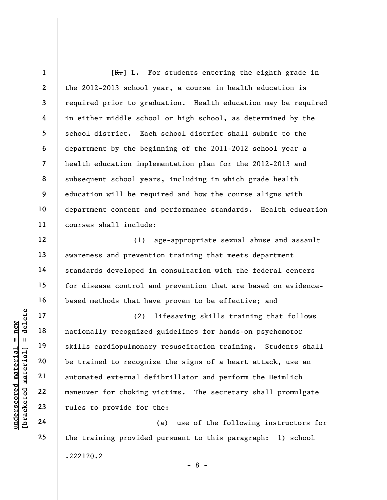8  $[K_r]$  L. For students entering the eighth grade in the 2012-2013 school year, a course in health education is required prior to graduation. Health education may be required in either middle school or high school, as determined by the school district. Each school district shall submit to the department by the beginning of the 2011-2012 school year a health education implementation plan for the 2012-2013 and subsequent school years, including in which grade health education will be required and how the course aligns with department content and performance standards. Health education courses shall include:

(1) age-appropriate sexual abuse and assault awareness and prevention training that meets department standards developed in consultation with the federal centers for disease control and prevention that are based on evidencebased methods that have proven to be effective; and

underscored material = new [bracketed material] = delete (2) lifesaving skills training that follows nationally recognized guidelines for hands-on psychomotor skills cardiopulmonary resuscitation training. Students shall be trained to recognize the signs of a heart attack, use an automated external defibrillator and perform the Heimlich maneuver for choking victims. The secretary shall promulgate rules to provide for the:

(a) use of the following instructors for the training provided pursuant to this paragraph: 1) school .222120.2 - 8 -

1

2

3

4

5

6

7

9

10

11

12

13

14

15

16

17

18

19

20

21

22

23

24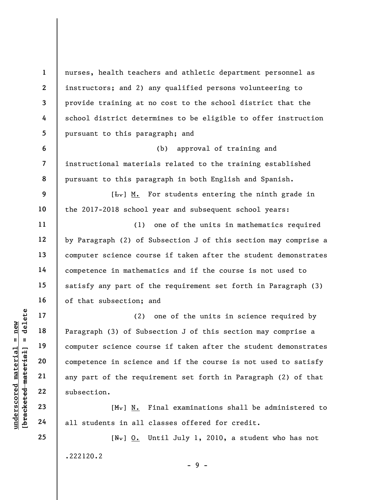nurses, health teachers and athletic department personnel as instructors; and 2) any qualified persons volunteering to provide training at no cost to the school district that the school district determines to be eligible to offer instruction pursuant to this paragraph; and

(b) approval of training and instructional materials related to the training established pursuant to this paragraph in both English and Spanish.

 $[\frac{L}{\sqrt{L}}]$  M. For students entering the ninth grade in the 2017-2018 school year and subsequent school years:

(1) one of the units in mathematics required by Paragraph (2) of Subsection J of this section may comprise a computer science course if taken after the student demonstrates competence in mathematics and if the course is not used to satisfy any part of the requirement set forth in Paragraph (3) of that subsection; and

underscored material = new [bracketed material] = delete (2) one of the units in science required by Paragraph (3) of Subsection J of this section may comprise a computer science course if taken after the student demonstrates competence in science and if the course is not used to satisfy any part of the requirement set forth in Paragraph (2) of that subsection.

 $[M_{\tau}]$  N. Final examinations shall be administered to all students in all classes offered for credit.

 $[N_{\tau}]$  O. Until July 1, 2010, a student who has not .222120.2

 $-9 -$ 

24 25

1

2

3

4

5

6

7

8

9

10

11

12

13

14

15

16

17

18

19

20

21

22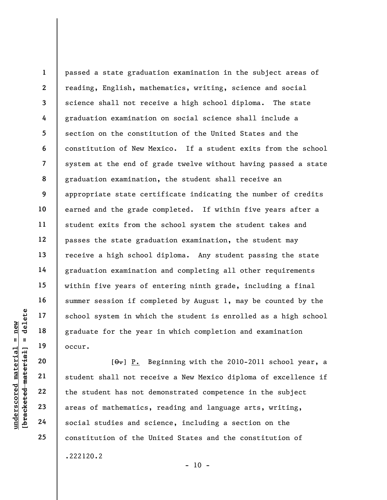1 2 3 4 5 6 7 8 9 10 11 12 13 14 15 16 17 18 19 passed a state graduation examination in the subject areas of reading, English, mathematics, writing, science and social science shall not receive a high school diploma. The state graduation examination on social science shall include a section on the constitution of the United States and the constitution of New Mexico. If a student exits from the school system at the end of grade twelve without having passed a state graduation examination, the student shall receive an appropriate state certificate indicating the number of credits earned and the grade completed. If within five years after a student exits from the school system the student takes and passes the state graduation examination, the student may receive a high school diploma. Any student passing the state graduation examination and completing all other requirements within five years of entering ninth grade, including a final summer session if completed by August 1, may be counted by the school system in which the student is enrolled as a high school graduate for the year in which completion and examination occur.

understand material material school system in which<br>  $\begin{array}{c|c|c|c} \hline \text{u} & \text{u} & \text{u} & \text{u} \\ \hline \text{u} & \text{u} & \text{u} & \text{u} \\ \hline \text{u} & \text{u} & \text{u} & \text{u} \\ \hline \text{u} & \text{u} & \text{u} & \text{u} \\ \hline \text{u} & \text{u} & \text{u} & \text{u} \\ \hline \text{u} & \text{u} & \text{u}$  $[\theta_{\bullet}]$  P. Beginning with the 2010-2011 school year, a student shall not receive a New Mexico diploma of excellence if the student has not demonstrated competence in the subject areas of mathematics, reading and language arts, writing, social studies and science, including a section on the constitution of the United States and the constitution of .222120.2

20

21

22

23

24

25

 $- 10 -$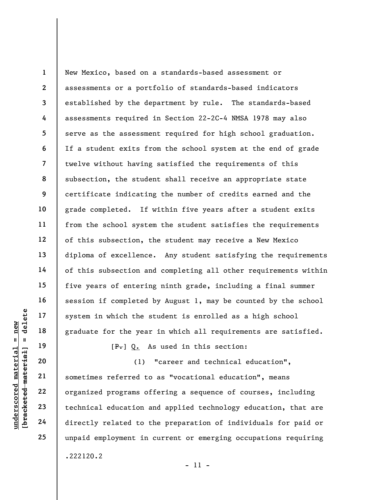1 2 3 4 5 6 7 8 9 10 11 12 13 14 15 16 17 18 New Mexico, based on a standards-based assessment or assessments or a portfolio of standards-based indicators established by the department by rule. The standards-based assessments required in Section 22-2C-4 NMSA 1978 may also serve as the assessment required for high school graduation. If a student exits from the school system at the end of grade twelve without having satisfied the requirements of this subsection, the student shall receive an appropriate state certificate indicating the number of credits earned and the grade completed. If within five years after a student exits from the school system the student satisfies the requirements of this subsection, the student may receive a New Mexico diploma of excellence. Any student satisfying the requirements of this subsection and completing all other requirements within five years of entering ninth grade, including a final summer session if completed by August 1, may be counted by the school system in which the student is enrolled as a high school graduate for the year in which all requirements are satisfied.

 $[F<sub>1</sub>] Q<sub>2</sub>$  As used in this section:

underscored material = new [bracketed material] = delete (1) "career and technical education", sometimes referred to as "vocational education", means organized programs offering a sequence of courses, including technical education and applied technology education, that are directly related to the preparation of individuals for paid or unpaid employment in current or emerging occupations requiring .222120.2

- 11 -

19

20

21

22

23

24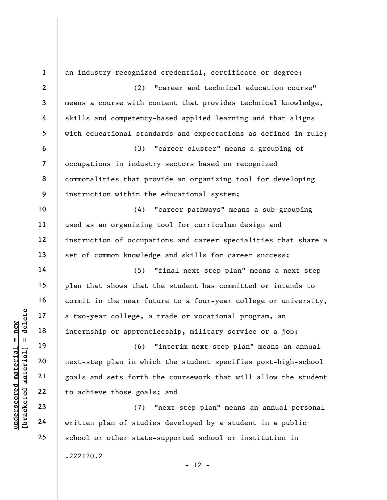understand material material and sets forth<br>
with the same of the same of the same of the same of the same of the same of the same of the same of the same of studies.<br>
The same of studies of the same of studies of the same 1 2 3 4 5 6 7 8 9 10 11 12 13 14 15 16 17 18 19 20 21 22 23 24 25 an industry-recognized credential, certificate or degree; (2) "career and technical education course" means a course with content that provides technical knowledge, skills and competency-based applied learning and that aligns with educational standards and expectations as defined in rule; (3) "career cluster" means a grouping of occupations in industry sectors based on recognized commonalities that provide an organizing tool for developing instruction within the educational system; (4) "career pathways" means a sub-grouping used as an organizing tool for curriculum design and instruction of occupations and career specialities that share a set of common knowledge and skills for career success; (5) "final next-step plan" means a next-step plan that shows that the student has committed or intends to commit in the near future to a four-year college or university, a two-year college, a trade or vocational program, an internship or apprenticeship, military service or a job; (6) "interim next-step plan" means an annual next-step plan in which the student specifies post-high-school goals and sets forth the coursework that will allow the student to achieve those goals; and (7) "next-step plan" means an annual personal written plan of studies developed by a student in a public school or other state-supported school or institution in .222120.2  $- 12 -$